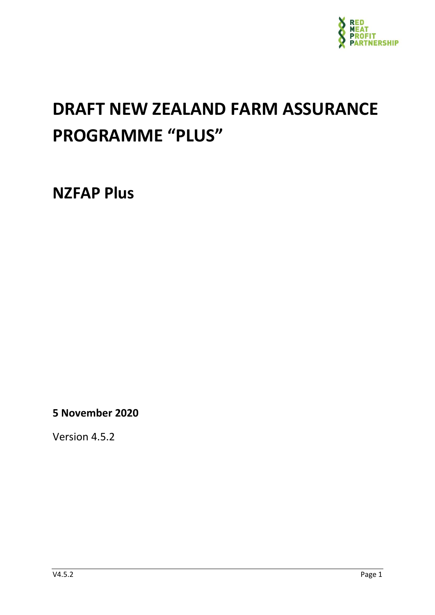

# <span id="page-0-0"></span>**DRAFT NEW ZEALAND FARM ASSURANCE PROGRAMME "PLUS"**

**NZFAP Plus**

**5 November 2020**

Version 4.5.2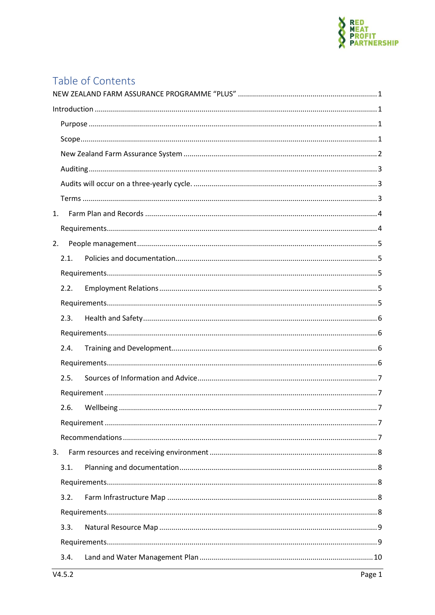

# Table of Contents

| 1. |      |  |  |  |  |  |
|----|------|--|--|--|--|--|
|    |      |  |  |  |  |  |
| 2. |      |  |  |  |  |  |
|    | 2.1. |  |  |  |  |  |
|    |      |  |  |  |  |  |
|    | 2.2. |  |  |  |  |  |
|    |      |  |  |  |  |  |
|    | 2.3. |  |  |  |  |  |
|    |      |  |  |  |  |  |
|    | 2.4. |  |  |  |  |  |
|    |      |  |  |  |  |  |
|    | 2.5. |  |  |  |  |  |
|    |      |  |  |  |  |  |
|    | 2.6. |  |  |  |  |  |
|    |      |  |  |  |  |  |
|    |      |  |  |  |  |  |
| 3. |      |  |  |  |  |  |
|    | 3.1. |  |  |  |  |  |
|    |      |  |  |  |  |  |
|    | 3.2. |  |  |  |  |  |
|    |      |  |  |  |  |  |
|    | 3.3. |  |  |  |  |  |
|    |      |  |  |  |  |  |
|    | 3.4. |  |  |  |  |  |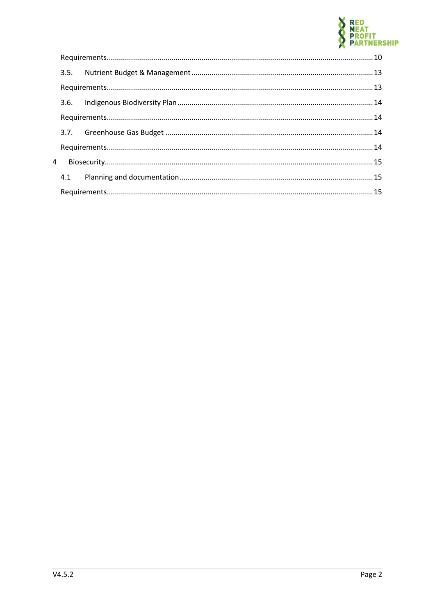

| 4 |  |  |  |
|---|--|--|--|
|   |  |  |  |
|   |  |  |  |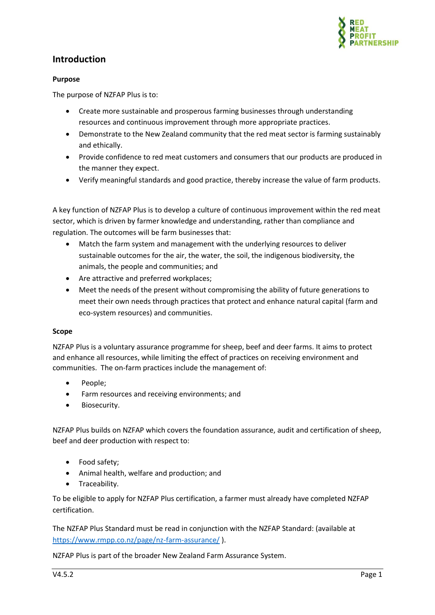

# <span id="page-3-0"></span>**Introduction**

#### <span id="page-3-1"></span>**Purpose**

The purpose of NZFAP Plus is to:

- Create more sustainable and prosperous farming businesses through understanding resources and continuous improvement through more appropriate practices.
- Demonstrate to the New Zealand community that the red meat sector is farming sustainably and ethically.
- Provide confidence to red meat customers and consumers that our products are produced in the manner they expect.
- Verify meaningful standards and good practice, thereby increase the value of farm products.

A key function of NZFAP Plus is to develop a culture of continuous improvement within the red meat sector, which is driven by farmer knowledge and understanding, rather than compliance and regulation. The outcomes will be farm businesses that:

- Match the farm system and management with the underlying resources to deliver sustainable outcomes for the air, the water, the soil, the indigenous biodiversity, the animals, the people and communities; and
- Are attractive and preferred workplaces;
- Meet the needs of the present without compromising the ability of future generations to meet their own needs through practices that protect and enhance natural capital (farm and eco-system resources) and communities.

#### <span id="page-3-2"></span>**Scope**

NZFAP Plus is a voluntary assurance programme for sheep, beef and deer farms. It aims to protect and enhance all resources, while limiting the effect of practices on receiving environment and communities. The on-farm practices include the management of:

- People;
- Farm resources and receiving environments; and
- Biosecurity.

NZFAP Plus builds on NZFAP which covers the foundation assurance, audit and certification of sheep, beef and deer production with respect to:

- Food safety;
- Animal health, welfare and production; and
- Traceability.

To be eligible to apply for NZFAP Plus certification, a farmer must already have completed NZFAP certification.

The NZFAP Plus Standard must be read in conjunction with the NZFAP Standard: (available at <https://www.rmpp.co.nz/page/nz-farm-assurance/> ).

NZFAP Plus is part of the broader New Zealand Farm Assurance System.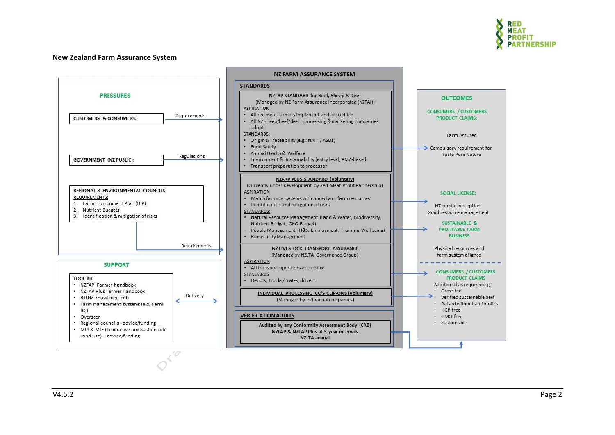

#### **New Zealand Farm Assurance System**

<span id="page-4-0"></span>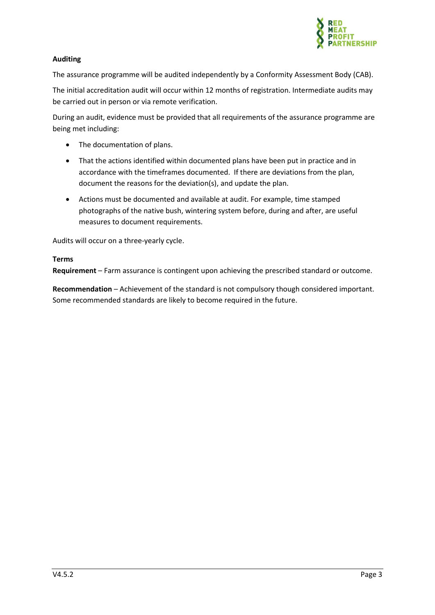

#### <span id="page-5-0"></span>**Auditing**

The assurance programme will be audited independently by a Conformity Assessment Body (CAB).

The initial accreditation audit will occur within 12 months of registration. Intermediate audits may be carried out in person or via remote verification.

During an audit, evidence must be provided that all requirements of the assurance programme are being met including:

- The documentation of plans.
- That the actions identified within documented plans have been put in practice and in accordance with the timeframes documented. If there are deviations from the plan, document the reasons for the deviation(s), and update the plan.
- Actions must be documented and available at audit. For example, time stamped photographs of the native bush, wintering system before, during and after, are useful measures to document requirements.

<span id="page-5-1"></span>Audits will occur on a three-yearly cycle.

#### <span id="page-5-2"></span>**Terms**

**Requirement** – Farm assurance is contingent upon achieving the prescribed standard or outcome.

**Recommendation** – Achievement of the standard is not compulsory though considered important. Some recommended standards are likely to become required in the future.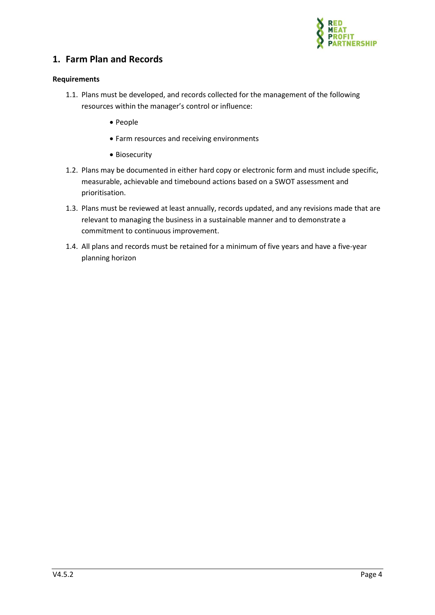

# <span id="page-6-0"></span>**1. Farm Plan and Records**

#### <span id="page-6-1"></span>**Requirements**

- 1.1. Plans must be developed, and records collected for the management of the following resources within the manager's control or influence:
	- People
	- Farm resources and receiving environments
	- Biosecurity
- 1.2. Plans may be documented in either hard copy or electronic form and must include specific, measurable, achievable and timebound actions based on a SWOT assessment and prioritisation.
- 1.3. Plans must be reviewed at least annually, records updated, and any revisions made that are relevant to managing the business in a sustainable manner and to demonstrate a commitment to continuous improvement.
- 1.4. All plans and records must be retained for a minimum of five years and have a five-year planning horizon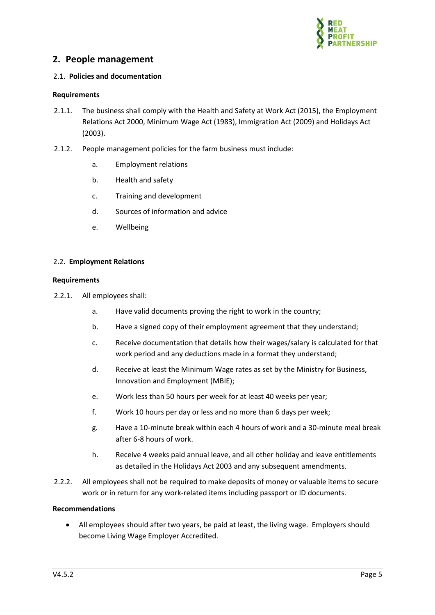

## <span id="page-7-0"></span>**2. People management**

#### <span id="page-7-1"></span>2.1. **Policies and documentation**

#### <span id="page-7-2"></span>**Requirements**

- 2.1.1. The business shall comply with the Health and Safety at Work Act (2015), the Employment Relations Act 2000, Minimum Wage Act (1983), Immigration Act (2009) and Holidays Act (2003).
- 2.1.2. People management policies for the farm business must include:
	- a. Employment relations
	- b. Health and safety
	- c. Training and development
	- d. Sources of information and advice
	- e. Wellbeing

#### <span id="page-7-3"></span>2.2. **Employment Relations**

#### <span id="page-7-4"></span>**Requirements**

- 2.2.1. All employees shall:
	- a. Have valid documents proving the right to work in the country;
	- b. Have a signed copy of their employment agreement that they understand;
	- c. Receive documentation that details how their wages/salary is calculated for that work period and any deductions made in a format they understand;
	- d. Receive at least the Minimum Wage rates as set by the Ministry for Business, Innovation and Employment (MBIE);
	- e. Work less than 50 hours per week for at least 40 weeks per year;
	- f. Work 10 hours per day or less and no more than 6 days per week;
	- g. Have a 10-minute break within each 4 hours of work and a 30-minute meal break after 6-8 hours of work.
	- h. Receive 4 weeks paid annual leave, and all other holiday and leave entitlements as detailed in the Holidays Act 2003 and any subsequent amendments.
- 2.2.2. All employees shall not be required to make deposits of money or valuable items to secure work or in return for any work-related items including passport or ID documents.

#### **Recommendations**

• All employees should after two years, be paid at least, the living wage. Employers should become Living Wage Employer Accredited.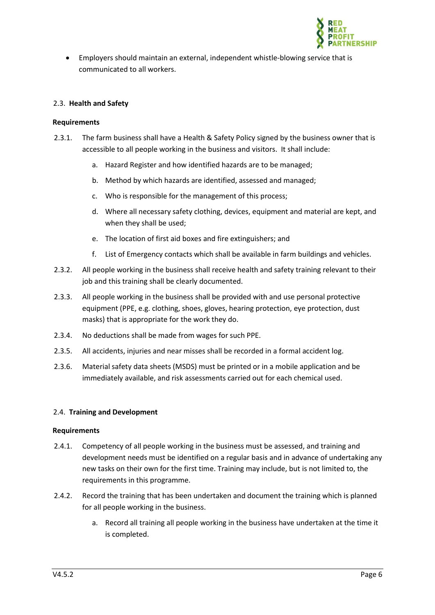

• Employers should maintain an external, independent whistle-blowing service that is communicated to all workers.

#### <span id="page-8-0"></span>2.3. **Health and Safety**

#### <span id="page-8-1"></span>**Requirements**

- 2.3.1. The farm business shall have a Health & Safety Policy signed by the business owner that is accessible to all people working in the business and visitors. It shall include:
	- a. Hazard Register and how identified hazards are to be managed;
	- b. Method by which hazards are identified, assessed and managed;
	- c. Who is responsible for the management of this process;
	- d. Where all necessary safety clothing, devices, equipment and material are kept, and when they shall be used;
	- e. The location of first aid boxes and fire extinguishers; and
	- f. List of Emergency contacts which shall be available in farm buildings and vehicles.
- 2.3.2. All people working in the business shall receive health and safety training relevant to their job and this training shall be clearly documented.
- 2.3.3. All people working in the business shall be provided with and use personal protective equipment (PPE, e.g. clothing, shoes, gloves, hearing protection, eye protection, dust masks) that is appropriate for the work they do.
- 2.3.4. No deductions shall be made from wages for such PPE.
- 2.3.5. All accidents, injuries and near misses shall be recorded in a formal accident log.
- 2.3.6. Material safety data sheets (MSDS) must be printed or in a mobile application and be immediately available, and risk assessments carried out for each chemical used.

#### <span id="page-8-2"></span>2.4. **Training and Development**

#### <span id="page-8-3"></span>**Requirements**

- 2.4.1. Competency of all people working in the business must be assessed, and training and development needs must be identified on a regular basis and in advance of undertaking any new tasks on their own for the first time. Training may include, but is not limited to, the requirements in this programme.
- 2.4.2. Record the training that has been undertaken and document the training which is planned for all people working in the business.
	- a. Record all training all people working in the business have undertaken at the time it is completed.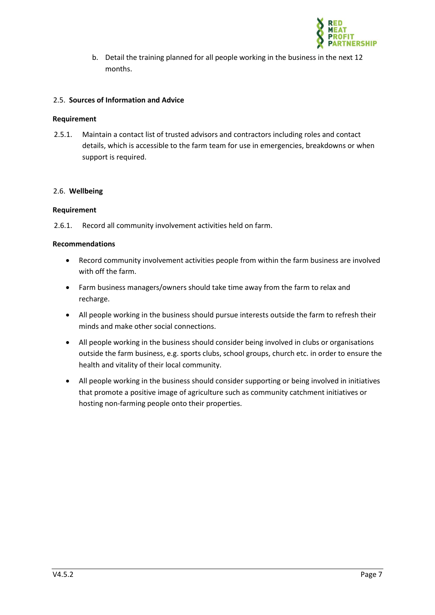

b. Detail the training planned for all people working in the business in the next 12 months.

#### <span id="page-9-0"></span>2.5. **Sources of Information and Advice**

#### <span id="page-9-1"></span>**Requirement**

2.5.1. Maintain a contact list of trusted advisors and contractors including roles and contact details, which is accessible to the farm team for use in emergencies, breakdowns or when support is required.

#### <span id="page-9-2"></span>2.6. **Wellbeing**

#### <span id="page-9-3"></span>**Requirement**

2.6.1. Record all community involvement activities held on farm.

#### <span id="page-9-4"></span>**Recommendations**

- Record community involvement activities people from within the farm business are involved with off the farm.
- Farm business managers/owners should take time away from the farm to relax and recharge.
- All people working in the business should pursue interests outside the farm to refresh their minds and make other social connections.
- All people working in the business should consider being involved in clubs or organisations outside the farm business, e.g. sports clubs, school groups, church etc. in order to ensure the health and vitality of their local community.
- All people working in the business should consider supporting or being involved in initiatives that promote a positive image of agriculture such as community catchment initiatives or hosting non-farming people onto their properties.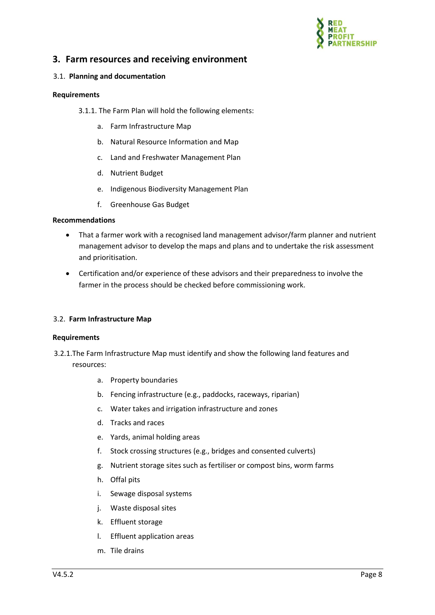

# <span id="page-10-0"></span>**3. Farm resources and receiving environment**

#### <span id="page-10-1"></span>3.1. **Planning and documentation**

#### <span id="page-10-2"></span>**Requirements**

- 3.1.1. The Farm Plan will hold the following elements:
	- a. Farm Infrastructure Map
	- b. Natural Resource Information and Map
	- c. Land and Freshwater Management Plan
	- d. Nutrient Budget
	- e. Indigenous Biodiversity Management Plan
	- f. Greenhouse Gas Budget

#### **Recommendations**

- That a farmer work with a recognised land management advisor/farm planner and nutrient management advisor to develop the maps and plans and to undertake the risk assessment and prioritisation.
- Certification and/or experience of these advisors and their preparedness to involve the farmer in the process should be checked before commissioning work.

#### <span id="page-10-3"></span>3.2. **Farm Infrastructure Map**

#### <span id="page-10-4"></span>**Requirements**

- 3.2.1.The Farm Infrastructure Map must identify and show the following land features and resources:
	- a. Property boundaries
	- b. Fencing infrastructure (e.g., paddocks, raceways, riparian)
	- c. Water takes and irrigation infrastructure and zones
	- d. Tracks and races
	- e. Yards, animal holding areas
	- f. Stock crossing structures (e.g., bridges and consented culverts)
	- g. Nutrient storage sites such as fertiliser or compost bins, worm farms
	- h. Offal pits
	- i. Sewage disposal systems
	- j. Waste disposal sites
	- k. Effluent storage
	- l. Effluent application areas
	- m. Tile drains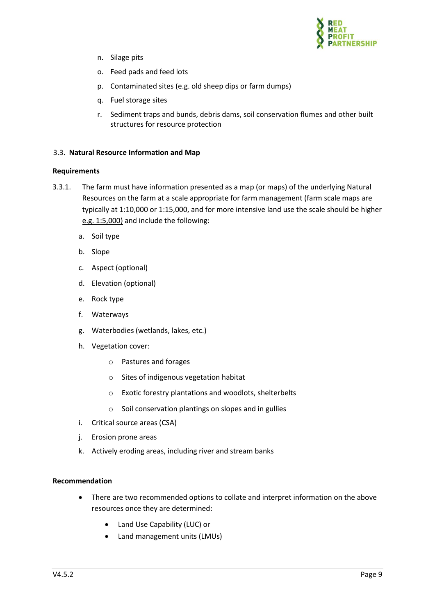

- n. Silage pits
- o. Feed pads and feed lots
- p. Contaminated sites (e.g. old sheep dips or farm dumps)
- q. Fuel storage sites
- r. Sediment traps and bunds, debris dams, soil conservation flumes and other built structures for resource protection

#### <span id="page-11-0"></span>3.3. **Natural Resource Information and Map**

#### <span id="page-11-1"></span>**Requirements**

- 3.3.1. The farm must have information presented as a map (or maps) of the underlying Natural Resources on the farm at a scale appropriate for farm management (farm scale maps are typically at 1:10,000 or 1:15,000, and for more intensive land use the scale should be higher e.g. 1:5,000) and include the following:
	- a. Soil type
	- b. Slope
	- c. Aspect (optional)
	- d. Elevation (optional)
	- e. Rock type
	- f. Waterways
	- g. Waterbodies (wetlands, lakes, etc.)
	- h. Vegetation cover:
		- o Pastures and forages
		- o Sites of indigenous vegetation habitat
		- o Exotic forestry plantations and woodlots, shelterbelts
		- o Soil conservation plantings on slopes and in gullies
	- i. Critical source areas (CSA)
	- j. Erosion prone areas
	- k. Actively eroding areas, including river and stream banks

#### **Recommendation**

- There are two recommended options to collate and interpret information on the above resources once they are determined:
	- Land Use Capability (LUC) or
	- Land management units (LMUs)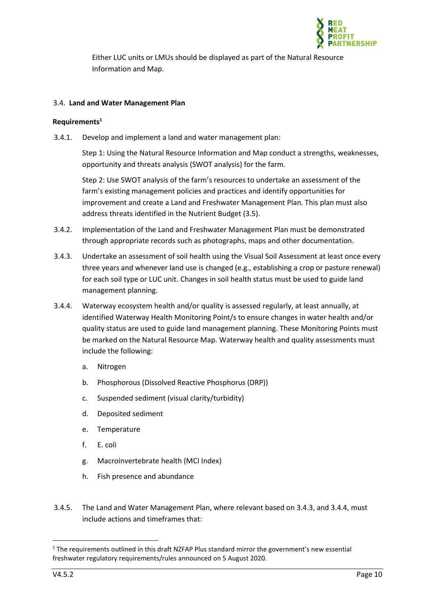

Either LUC units or LMUs should be displayed as part of the Natural Resource Information and Map.

#### <span id="page-12-0"></span>3.4. **Land and Water Management Plan**

#### <span id="page-12-1"></span>**Requirements<sup>1</sup>**

3.4.1. Develop and implement a land and water management plan:

Step 1: Using the Natural Resource Information and Map conduct a strengths, weaknesses, opportunity and threats analysis (SWOT analysis) for the farm*.*

Step 2: Use SWOT analysis of the farm's resources to undertake an assessment of the farm's existing management policies and practices and identify opportunities for improvement and create a Land and Freshwater Management Plan*.* This plan must also address threats identified in the Nutrient Budget (3.5).

- 3.4.2. Implementation of the Land and Freshwater Management Plan must be demonstrated through appropriate records such as photographs, maps and other documentation.
- 3.4.3. Undertake an assessment of soil health using the Visual Soil Assessment at least once every three years and whenever land use is changed (e.g., establishing a crop or pasture renewal) for each soil type or LUC unit. Changes in soil health status must be used to guide land management planning.
- 3.4.4. Waterway ecosystem health and/or quality is assessed regularly, at least annually, at identified Waterway Health Monitoring Point/s to ensure changes in water health and/or quality status are used to guide land management planning. These Monitoring Points must be marked on the Natural Resource Map. Waterway health and quality assessments must include the following:
	- a. Nitrogen
	- b. Phosphorous (Dissolved Reactive Phosphorus (DRP))
	- c. Suspended sediment (visual clarity/turbidity)
	- d. Deposited sediment
	- e. Temperature
	- f. E. coli
	- g. Macroinvertebrate health (MCI Index)
	- h. Fish presence and abundance
- 3.4.5. The Land and Water Management Plan, where relevant based on 3.4.3, and 3.4.4, must include actions and timeframes that:

 $1$  The requirements outlined in this draft NZFAP Plus standard mirror the government's new essential freshwater regulatory requirements/rules announced on 5 August 2020.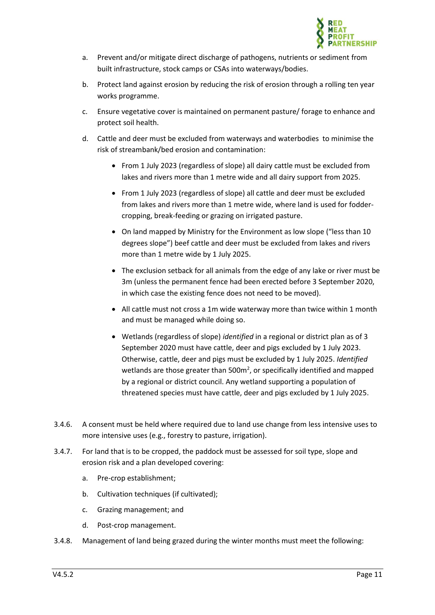

- a. Prevent and/or mitigate direct discharge of pathogens, nutrients or sediment from built infrastructure, stock camps or CSAs into waterways/bodies.
- b. Protect land against erosion by reducing the risk of erosion through a rolling ten year works programme.
- c. Ensure vegetative cover is maintained on permanent pasture/ forage to enhance and protect soil health.
- d. Cattle and deer must be excluded from waterways and waterbodies to minimise the risk of streambank/bed erosion and contamination:
	- From 1 July 2023 (regardless of slope) all dairy cattle must be excluded from lakes and rivers more than 1 metre wide and all dairy support from 2025.
	- From 1 July 2023 (regardless of slope) all cattle and deer must be excluded from lakes and rivers more than 1 metre wide, where land is used for foddercropping, break-feeding or grazing on irrigated pasture.
	- On land mapped by Ministry for the Environment as low slope ("less than 10 degrees slope") beef cattle and deer must be excluded from lakes and rivers more than 1 metre wide by 1 July 2025.
	- The exclusion setback for all animals from the edge of any lake or river must be 3m (unless the permanent fence had been erected before 3 September 2020, in which case the existing fence does not need to be moved).
	- All cattle must not cross a 1m wide waterway more than twice within 1 month and must be managed while doing so.
	- Wetlands (regardless of slope) *identified* in a regional or district plan as of 3 September 2020 must have cattle, deer and pigs excluded by 1 July 2023. Otherwise, cattle, deer and pigs must be excluded by 1 July 2025. *Identified* wetlands are those greater than  $500m^2$ , or specifically identified and mapped by a regional or district council. Any wetland supporting a population of threatened species must have cattle, deer and pigs excluded by 1 July 2025.
- 3.4.6. A consent must be held where required due to land use change from less intensive uses to more intensive uses (e.g., forestry to pasture, irrigation).
- 3.4.7. For land that is to be cropped, the paddock must be assessed for soil type, slope and erosion risk and a plan developed covering:
	- a. Pre-crop establishment;
	- b. Cultivation techniques (if cultivated);
	- c. Grazing management; and
	- d. Post-crop management.
- 3.4.8. Management of land being grazed during the winter months must meet the following: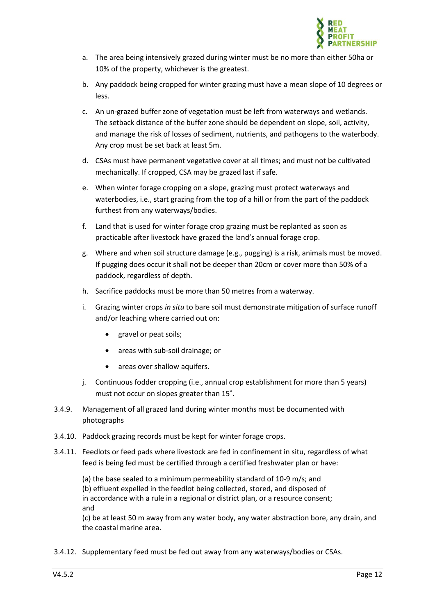

- a. The area being intensively grazed during winter must be no more than either 50ha or 10% of the property, whichever is the greatest.
- b. Any paddock being cropped for winter grazing must have a mean slope of 10 degrees or less.
- c. An un-grazed buffer zone of vegetation must be left from waterways and wetlands. The setback distance of the buffer zone should be dependent on slope, soil, activity, and manage the risk of losses of sediment, nutrients, and pathogens to the waterbody. Any crop must be set back at least 5m.
- d. CSAs must have permanent vegetative cover at all times; and must not be cultivated mechanically. If cropped, CSA may be grazed last if safe.
- e. When winter forage cropping on a slope, grazing must protect waterways and waterbodies, i.e., start grazing from the top of a hill or from the part of the paddock furthest from any waterways/bodies.
- f. Land that is used for winter forage crop grazing must be replanted as soon as practicable after livestock have grazed the land's annual forage crop.
- g. Where and when soil structure damage (e.g., pugging) is a risk, animals must be moved. If pugging does occur it shall not be deeper than 20cm or cover more than 50% of a paddock, regardless of depth.
- h. Sacrifice paddocks must be more than 50 metres from a waterway.
- i. Grazing winter crops *in situ* to bare soil must demonstrate mitigation of surface runoff and/or leaching where carried out on:
	- gravel or peat soils;
	- areas with sub-soil drainage; or
	- areas over shallow aquifers.
- j. Continuous fodder cropping (i.e., annual crop establishment for more than 5 years) must not occur on slopes greater than 15˚.
- 3.4.9. Management of all grazed land during winter months must be documented with photographs
- 3.4.10. Paddock grazing records must be kept for winter forage crops.
- 3.4.11. Feedlots or feed pads where livestock are fed in confinement in situ, regardless of what feed is being fed must be certified through a certified freshwater plan or have:

(a) the base sealed to a minimum permeability standard of 10-9 m/s; and (b) effluent expelled in the feedlot being collected, stored, and disposed of in accordance with a rule in a regional or district plan, or a resource consent; and

(c) be at least 50 m away from any water body, any water abstraction bore, any drain, and the coastal marine area.

3.4.12. Supplementary feed must be fed out away from any waterways/bodies or CSAs.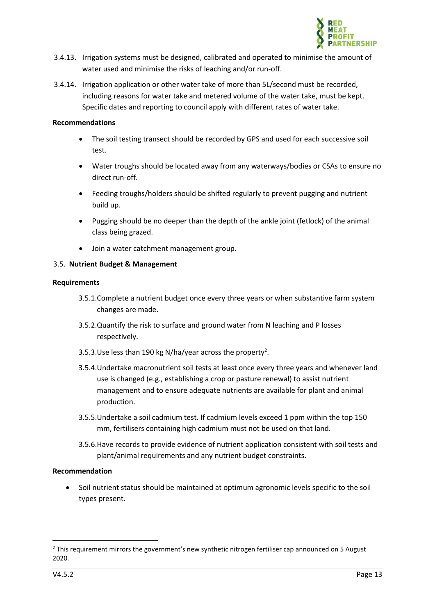

- 3.4.13. Irrigation systems must be designed, calibrated and operated to minimise the amount of water used and minimise the risks of leaching and/or run-off.
- 3.4.14. Irrigation application or other water take of more than 5L/second must be recorded, including reasons for water take and metered volume of the water take, must be kept. Specific dates and reporting to council apply with different rates of water take.

#### **Recommendations**

- The soil testing transect should be recorded by GPS and used for each successive soil test.
- Water troughs should be located away from any waterways/bodies or CSAs to ensure no direct run-off.
- Feeding troughs/holders should be shifted regularly to prevent pugging and nutrient build up.
- Pugging should be no deeper than the depth of the ankle joint (fetlock) of the animal class being grazed.
- Join a water catchment management group.

#### <span id="page-15-0"></span>3.5. **Nutrient Budget & Management**

#### <span id="page-15-1"></span>**Requirements**

- 3.5.1.Complete a nutrient budget once every three years or when substantive farm system changes are made.
- 3.5.2.Quantify the risk to surface and ground water from N leaching and P losses respectively.
- 3.5.3. Use less than 190 kg N/ha/year across the property<sup>2</sup>.
- 3.5.4.Undertake macronutrient soil tests at least once every three years and whenever land use is changed (e.g., establishing a crop or pasture renewal) to assist nutrient management and to ensure adequate nutrients are available for plant and animal production.
- 3.5.5.Undertake a soil cadmium test. If cadmium levels exceed 1 ppm within the top 150 mm, fertilisers containing high cadmium must not be used on that land.
- 3.5.6.Have records to provide evidence of nutrient application consistent with soil tests and plant/animal requirements and any nutrient budget constraints.

#### **Recommendation**

• Soil nutrient status should be maintained at optimum agronomic levels specific to the soil types present.

 $<sup>2</sup>$  This requirement mirrors the government's new synthetic nitrogen fertiliser cap announced on 5 August</sup> 2020.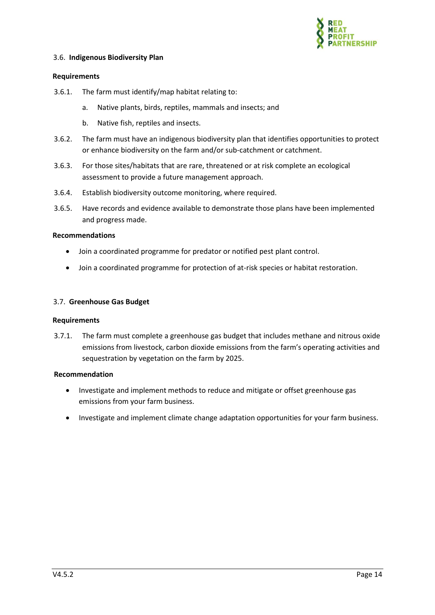

#### <span id="page-16-0"></span>3.6. **Indigenous Biodiversity Plan**

#### <span id="page-16-1"></span>**Requirements**

- 3.6.1. The farm must identify/map habitat relating to:
	- a. Native plants, birds, reptiles, mammals and insects; and
	- b. Native fish, reptiles and insects.
- 3.6.2. The farm must have an indigenous biodiversity plan that identifies opportunities to protect or enhance biodiversity on the farm and/or sub-catchment or catchment.
- 3.6.3. For those sites/habitats that are rare, threatened or at risk complete an ecological assessment to provide a future management approach.
- 3.6.4. Establish biodiversity outcome monitoring, where required.
- 3.6.5. Have records and evidence available to demonstrate those plans have been implemented and progress made.

#### **Recommendations**

- Join a coordinated programme for predator or notified pest plant control.
- Join a coordinated programme for protection of at-risk species or habitat restoration.

#### <span id="page-16-2"></span>3.7. **Greenhouse Gas Budget**

#### <span id="page-16-3"></span>**Requirements**

3.7.1. The farm must complete a greenhouse gas budget that includes methane and nitrous oxide emissions from livestock, carbon dioxide emissions from the farm's operating activities and sequestration by vegetation on the farm by 2025.

#### **Recommendation**

- Investigate and implement methods to reduce and mitigate or offset greenhouse gas emissions from your farm business.
- Investigate and implement climate change adaptation opportunities for your farm business.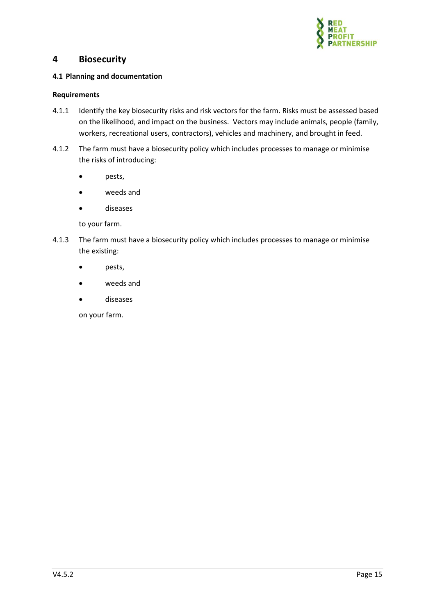

### <span id="page-17-0"></span>**4 Biosecurity**

#### <span id="page-17-1"></span>**4.1 Planning and documentation**

#### <span id="page-17-2"></span>**Requirements**

- 4.1.1 Identify the key biosecurity risks and risk vectors for the farm. Risks must be assessed based on the likelihood, and impact on the business. Vectors may include animals, people (family, workers, recreational users, contractors), vehicles and machinery, and brought in feed.
- 4.1.2 The farm must have a biosecurity policy which includes processes to manage or minimise the risks of introducing:
	- pests,
	- weeds and
	- diseases

to your farm.

- 4.1.3 The farm must have a biosecurity policy which includes processes to manage or minimise the existing:
	- pests,
	- weeds and
	- diseases

on your farm.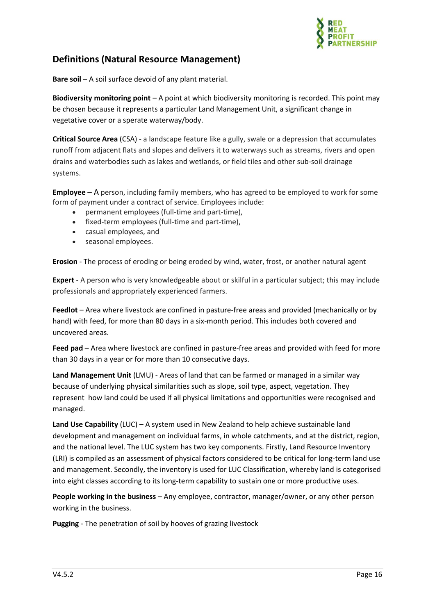

# **Definitions (Natural Resource Management)**

**Bare soil** – A soil surface devoid of any plant material.

**Biodiversity monitoring point** – A point at which biodiversity monitoring is recorded. This point may be chosen because it represents a particular Land Management Unit, a significant change in vegetative cover or a sperate waterway/body.

**Critical Source Area** (CSA) - a landscape feature like a gully, swale or a depression that accumulates runoff from adjacent flats and slopes and delivers it to waterways such as streams, rivers and open drains and waterbodies such as lakes and wetlands, or field tiles and other sub-soil drainage systems.

**Employee** – A person, including family members, who has agreed to be employed to work for some form of payment under a contract of service. Employees include:

- permanent employees (full-time and part-time),
- fixed-term employees (full-time and part-time),
- casual employees, and
- seasonal employees.

**Erosion** - The process of eroding or being eroded by wind, water, frost, or another natural agent

**Expert** - A person who is very knowledgeable about or skilful in a particular subject; this may include professionals and appropriately experienced farmers.

**Feedlot** – Area where livestock are confined in pasture-free areas and provided (mechanically or by hand) with feed, for more than 80 days in a six-month period. This includes both covered and uncovered areas.

**Feed pad** – Area where livestock are confined in pasture-free areas and provided with feed for more than 30 days in a year or for more than 10 consecutive days.

**Land Management Unit** (LMU) - Areas of land that can be farmed or managed in a similar way because of underlying physical similarities such as slope, soil type, aspect, vegetation. They represent how land could be used if all physical limitations and opportunities were recognised and managed.

**Land Use Capability** (LUC) – A system used in New Zealand to help achieve sustainable land development and management on individual farms, in whole catchments, and at the district, region, and the national level. The LUC system has two key components. Firstly, Land Resource Inventory (LRI) is compiled as an assessment of physical factors considered to be critical for long-term land use and management. Secondly, the inventory is used for LUC Classification, whereby land is categorised into eight classes according to its long-term capability to sustain one or more productive uses.

**People working in the business** – Any employee, contractor, manager/owner, or any other person working in the business.

**Pugging** - The penetration of soil by hooves of grazing livestock